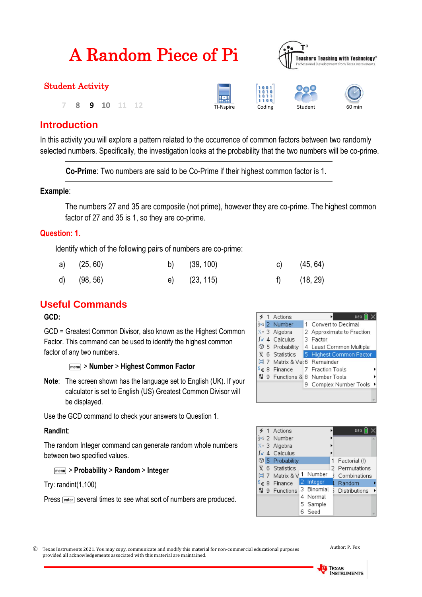| A Random Piece of Pi    | <b>Teachers Teaching with Technology'</b><br>Professional Development from Texas Instruments |                               |         |        |
|-------------------------|----------------------------------------------------------------------------------------------|-------------------------------|---------|--------|
| <b>Student Activity</b> |                                                                                              |                               |         |        |
| 10<br>q                 | Æ<br>TI-Nspire                                                                               | $\frac{1011}{1100}$<br>Coding | Student | 60 min |

 $\sqrt{2}$ 

## **Introduction**

In this activity you will explore a pattern related to the occurrence of common factors between two randomly selected numbers. Specifically, the investigation looks at the probability that the two numbers will be co-prime.

**Co-Prime**: Two numbers are said to be Co-Prime if their highest common factor is 1.

### **Example**:

The numbers 27 and 35 are composite (not prime), however they are co-prime. The highest common factor of 27 and 35 is 1, so they are co-prime.

### **Question: 1.**

Identify which of the following pairs of numbers are co-prime:

| a) $(25, 60)$ | b) $(39, 100)$ | c) $(45, 64)$ |
|---------------|----------------|---------------|
| d) (98, 56)   | e) (23, 115)   | f) (18, 29)   |

## **Useful Commands**

**GCD:**

GCD = Greatest Common Divisor, also known as the Highest Common Factor. This command can be used to identify the highest common factor of any two numbers.

#### b> **Number** > **Highest Common Factor**

**Note**: The screen shown has the language set to English (UK). If your calculator is set to English (US) Greatest Common Divisor will be displayed.

Use the GCD command to check your answers to Question 1.

### **RandInt**:

The random Integer command can generate random whole numbers between two specified values.

### b> **Probability** > **Random** > **Integer**

Try: randint(1,100)

Press **Fenter** several times to see what sort of numbers are produced.

|  | Actions                            | DEG<br>٠                                            |
|--|------------------------------------|-----------------------------------------------------|
|  | $\frac{1}{2}$ .5 2 Number          | Convert to Decimal                                  |
|  | $X = 3$ Algebra                    | 2 Approximate to Fraction                           |
|  | $\int d$ 4 Calculus                | 3 Factor                                            |
|  | <b>1</b> 5 Probability             | 4 Least Common Multiple                             |
|  |                                    | $\overline{X}$ 6 Statistics 5 Highest Common Factor |
|  | <b>B</b> 7 Matrix & Ver6 Remainder |                                                     |
|  |                                    | $\S$ $\in$ 8 Finance 7 Fraction Tools               |
|  |                                    | 월 9 Functions & 8 Number Tools                      |
|  |                                    | 9 Complex Number Tools                              |
|  |                                    |                                                     |
|  |                                    |                                                     |

|                   | Actions                               |   |          | DEG           |  |
|-------------------|---------------------------------------|---|----------|---------------|--|
|                   | $\frac{1}{2}$ . <sub>5</sub> 2 Number |   |          |               |  |
|                   | X= 3 Algebra                          |   |          |               |  |
|                   | 4 Calculus                            |   |          |               |  |
|                   | <b>1</b> 5 Probability                |   |          | Factorial (!) |  |
|                   | $\overline{X}$ 6 Statistics           |   |          | Permutations  |  |
|                   | $\boxed{3}$ 7 Matrix & V              |   | Number   | Combinations  |  |
| $\delta \epsilon$ | 8 Finance                             | 2 | Integer  | Random        |  |
|                   | $^{61}_{18}$ 9 Functions              |   | Binomial | Distributions |  |
|                   |                                       | 4 | Normal   |               |  |
|                   |                                       |   | 5 Sample |               |  |
|                   |                                       |   | Seed     |               |  |

 Texas Instruments 2021. You may copy, communicate and modify this material for non-commercial educational purposes provided all acknowledgements associated with this material are maintained.